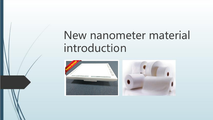# New nanometer material introduction



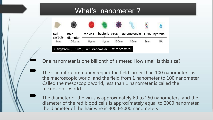# What's nanometer?



One nanometer is one billionth of a meter. How small is this size?

单击输入您的封面副标题 The scientific community regard the field larger than 100 nanometers as the macroscopic world, and the field from 1 nanometer to 100 nanometer Called the mesoscopic world, less than 1 nanometer is called the microscopic world.

The diameter of the virus is approximately 60 to 250 nanometers, and the diameter of the red blood cells is approximately equal to 2000 nanometer, the diameter of the hair wire is 3000-5000 nanometers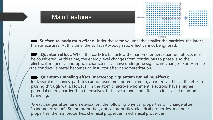

 **Surface-to-body ratio effect:** Under the same volume, the smaller the particles, the larger the surface area. At this time, the surface-to-body ratio effect cannot be ignored.<br>**Dep Quantum effect:** When the particles fall below the nanometer size, quantum effects must

Main Features

be considered. At this time, the energy level changes from continuous to phase, and the electrical, magnetic, and optical characteristics have undergone significant changes. For example, the conductive metal becomes an insulator after nanometerization.

 **Quantum tunneling effect (macroscopic quantum tunneling effect):** In classical mechanics, particles cannot overcome potential energy barriers and have the effect of passing through walls. However, in the atomic micro-environment, electrons have a higher potential energy barrier than themselves, but have a tunneling effect, so it is called quantum tunneling.

 Great changes after nanometerization, the following physical properties will change after "nanometerization". Sound properties, optical properties, electrical properties, magnetic properties, thermal properties, chemical properties, mechanical properties.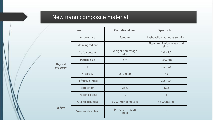# New nano composite material

| Item                        |                      | <b>Conditional unit</b>            | <b>Specifiction</b>                   |
|-----------------------------|----------------------|------------------------------------|---------------------------------------|
| <b>Physical</b><br>property | Appearance           | Standard                           | Light yellow aqueous solution         |
|                             | Main ingredient      |                                    | Titanium dioxide, water and<br>silver |
|                             | Solid content        | Weight percentage<br>wt $%$        | $1.0 - 1.2$                           |
|                             | Particle size        | nm                                 | $<$ 100 $nm$                          |
|                             | PH                   |                                    | $7.5 - 9.5$                           |
|                             | Viscosity            | 25°CmPa <sub>S</sub>               | < 5                                   |
|                             | Refractive index     |                                    | $2.2 - 2.4$                           |
|                             | proportion           | $25^{\circ}$ C                     | 1.02                                  |
|                             | Freezing point       | $^{\circ}$ C                       | $\overline{4}$                        |
| <b>Safety</b>               | Oral toxicity test   | LD50(mg/kg.mouse)                  | >5000mg/kg                            |
|                             | Skin irritation test | <b>Primary irritation</b><br>index | $\overline{0}$                        |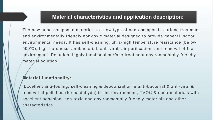#### **Material characteristics and application description:**

The new nano-composite material is a new type of nano-composite surface treatment and environmentally friendly non-toxic material designed to provide general indoor environmental needs. It has self-cleaning, ultra-high temperature resistance (below 500℃), high hardness, antibacterial, anti-viral, air purification, and removal of the environment. Pollution, highly functional surface treatment environmentally friendly material solution.

#### **Material functionality:**

Excellent anti-fouling, self-cleaning & deodorization & anti-bacterial & anti-viral & removal of pollution (formaldehyde) in the environment, TVOC & nano-materials with excellent adhesion, non-toxic and environmentally friendly materials and other characteristics.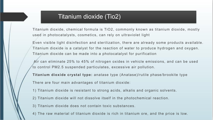## Titanium dioxide (Tio2)

Titanium dioxide, chemical formula is TiO2, commonly known as titanium dioxide, mostly used in photocatalysts, cosmetics, can rely on ultraviolet light

Even visible light disinfection and sterilization, there are already some products available. Titanium dioxide is a catalyst for the reaction of water to produce hydrogen and oxygen. Titanium dioxide can be made into a photocatalyst for purification

Air can eliminate 25% to 45% of nitrogen oxides in vehicle emissions, and can be used to control PM2.5 suspended particulates, excessive air pollution.

**Titanium dioxide crystal type:** anatase type (Anatase)/rutile phase/brookite type

There are four main advantages of titanium dioxide:

- 1) Titanium dioxide is resistant to strong acids, alkalis and organic solvents.
- 2) Titanium dioxide will not dissolve itself in the photochemical reaction.
- 3) Titanium dioxide does not contain toxic substances.
- 4) The raw material of titanium dioxide is rich in titanium ore, and the price is low.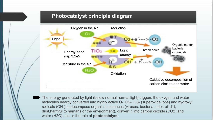#### **Photocatalyst principle diagram**



The energy generated by light (below normal normal light) triggers the oxygen and water molecules nearby converted into highly active O-, O2-, O3- (superoxide ions) and hydroxyl radicals (OH-) to decompose organic substances (viruses, bacteria, odor, oil dirt, dust,harmful to humans or the environment), convert it into carbon dioxide (CO2) and water (H2O), this is the role of **photocatalyst.**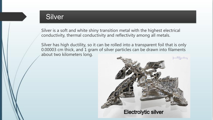Silver is a soft and white shiny transition metal with the highest electrical conductivity, thermal conductivity and reflectivity among all metals.

Silver has high ductility, so it can be rolled into a transparent foil that is only 0.00003 cm thick, and 1 gram of silver particles can be drawn into filaments **Silver**<br>
Silver is a soft and white shiny transitior<br>
conductivity, thermal conductivity and r<br>
Silver has high ductility, so it can be roll<br>
0.00003 cm thick, and 1 gram of silver p<br>
about two kilometers long.

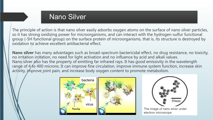# Nano Silver

The principle of action is that nano silver easily adsorbs oxygen atoms on the surface of nano silver particles, so it has strong oxidizing power for microorganisms, and can interact with the hydrogen-sulfur functional group (-SH functional group) on the surface protein of microorganisms, that is, its structure is destroyed by oxidation to achieve excellent antibacterial effect.

**Nano silver** has many advantages such as broad-spectrum bactericidal effect, no drug resistance, no toxicity, no irritation irritation, no need for light activation and no influence by acid and alkali values. Nano silver also has the property of emitting far infrared rays. It has good emissivity in the wavelength range of 4 to 400 microns. It can improve fine circulation, improve immune system function, increase skin activity, improve joint pain, and increase body oxygen content to promote metabolism.





The image of nano silver under electron microscope